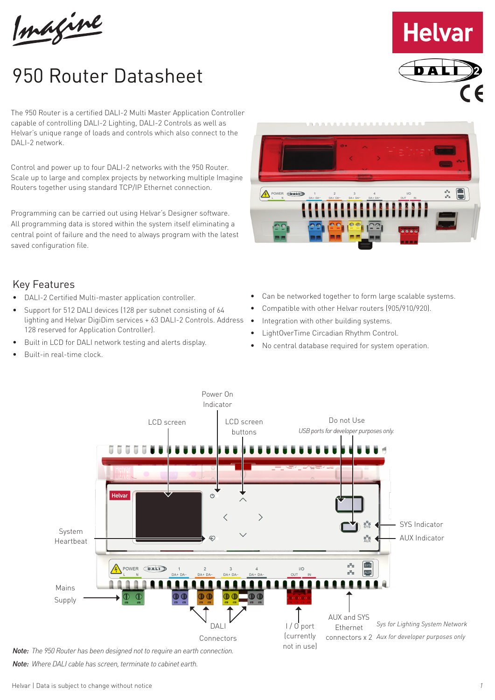Imagine

# 950 Router Datasheet

The 950 Router is a certified DALI-2 Multi Master Application Controller capable of controlling DALI-2 Lighting, DALI-2 Controls as well as Helvar's unique range of loads and controls which also connect to the DALI-2 network.

Control and power up to four DALI-2 networks with the 950 Router. Scale up to large and complex projects by networking multiple Imagine Routers together using standard TCP/IP Ethernet connection.

Programming can be carried out using Helvar's Designer software. All programming data is stored within the system itself eliminating a central point of failure and the need to always program with the latest saved configuration file.



**Helvar** 

## Key Features

- DALI-2 Certified Multi-master application controller.
- Support for 512 DALI devices (128 per subnet consisting of 64 lighting and Helvar DigiDim services + 63 DALI-2 Controls. Address 128 reserved for Application Controller).
- Built in LCD for DALI network testing and alerts display.
- Built-in real-time clock.
- Can be networked together to form large scalable systems.
- Compatible with other Helvar routers (905/910/920).
- Integration with other building systems.
- LightOverTime Circadian Rhythm Control.
- No central database required for system operation.



*Note: Where DALI cable has screen, terminate to cabinet earth.*